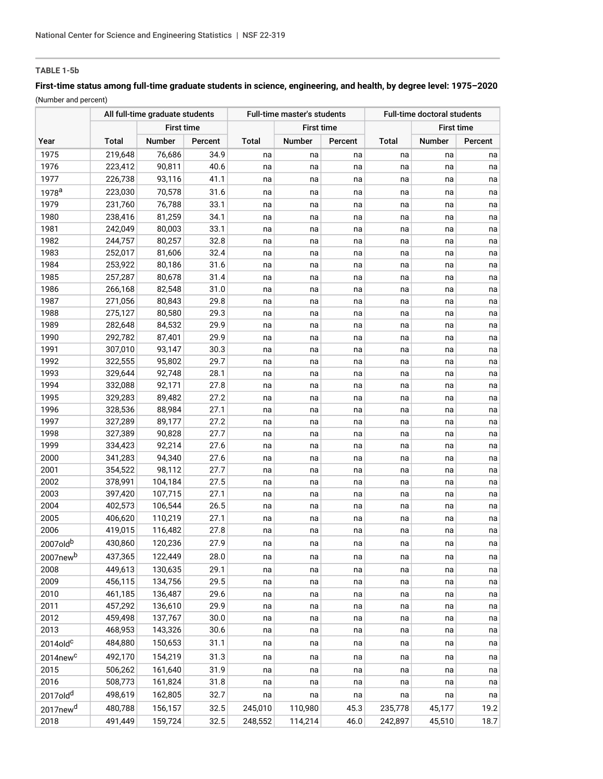# **TABLE 1-5b**

# **First-time status among full-time graduate students in science, engineering, and health, by degree level: 1975–2020** (Number and percent)

|                         |              | All full-time graduate students |         | Full-time master's students |               |         | <b>Full-time doctoral students</b> |                   |         |
|-------------------------|--------------|---------------------------------|---------|-----------------------------|---------------|---------|------------------------------------|-------------------|---------|
|                         |              | <b>First time</b>               |         | <b>First time</b>           |               |         |                                    | <b>First time</b> |         |
| Year                    | <b>Total</b> | <b>Number</b>                   | Percent | <b>Total</b>                | <b>Number</b> | Percent | Total                              | <b>Number</b>     | Percent |
| 1975                    | 219,648      | 76,686                          | 34.9    | na                          | na            | na      | na                                 | na                | na      |
| 1976                    | 223,412      | 90,811                          | 40.6    | na                          | na            | na      | na                                 | na                | na      |
| 1977                    | 226,738      | 93,116                          | 41.1    | na                          | na            | na      | na                                 | na                | na      |
| 1978 <sup>a</sup>       | 223,030      | 70,578                          | 31.6    | na                          | na            | na      | na                                 | na                | na      |
| 1979                    | 231,760      | 76,788                          | 33.1    | na                          | na            | na      | na                                 | na                | na      |
| 1980                    | 238,416      | 81,259                          | 34.1    | na                          | na            | na      | na                                 | na                | na      |
| 1981                    | 242,049      | 80,003                          | 33.1    | na                          | na            | na      | na                                 | na                | na      |
| 1982                    | 244,757      | 80,257                          | 32.8    | na                          | na            | na      | na                                 | na                | na      |
| 1983                    | 252,017      | 81,606                          | 32.4    | na                          | na            | na      | na                                 | na                | na      |
| 1984                    | 253,922      | 80,186                          | 31.6    | na                          | na            | na      | na                                 | na                | na      |
| 1985                    | 257,287      | 80,678                          | 31.4    | na                          | na            | na      | na                                 | na                | na      |
| 1986                    | 266,168      | 82,548                          | 31.0    | na                          | na            | na      | na                                 | na                | na      |
| 1987                    | 271,056      | 80,843                          | 29.8    | na                          | na            | na      | na                                 | na                | na      |
| 1988                    | 275,127      | 80,580                          | 29.3    | na                          | na            | na      | na                                 | na                | na      |
| 1989                    | 282,648      | 84,532                          | 29.9    | na                          | na            | na      | na                                 | na                | na      |
| 1990                    | 292,782      | 87,401                          | 29.9    | na                          | na            | na      | na                                 | na                | na      |
| 1991                    | 307,010      | 93,147                          | 30.3    | na                          | na            | na      | na                                 | na                | na      |
| 1992                    | 322,555      | 95,802                          | 29.7    | na                          | na            | na      | na                                 | na                | na      |
| 1993                    | 329,644      | 92,748                          | 28.1    | na                          | na            | na      | na                                 | na                | na      |
| 1994                    | 332,088      | 92,171                          | 27.8    | na                          | na            | na      | na                                 | na                | na      |
| 1995                    | 329,283      | 89,482                          | 27.2    | na                          | na            | na      | na                                 | na                | na      |
| 1996                    | 328,536      | 88,984                          | 27.1    | na                          | na            | na      | na                                 | na                | na      |
| 1997                    | 327,289      | 89,177                          | 27.2    | na                          | na            | na      | na                                 | na                | na      |
| 1998                    | 327,389      | 90,828                          | 27.7    | na                          | na            | na      | na                                 | na                | na      |
| 1999                    | 334,423      | 92,214                          | 27.6    | na                          | na            | na      | na                                 | na                | na      |
| 2000                    | 341,283      | 94,340                          | 27.6    | na                          | na            | na      | na                                 | na                | na      |
| 2001                    | 354,522      | 98,112                          | 27.7    | na                          | na            | na      | na                                 | na                | na      |
| 2002                    | 378,991      | 104,184                         | 27.5    | na                          | na            | na      | na                                 | na                | na      |
| 2003                    | 397,420      | 107,715                         | 27.1    | na                          | na            | na      | na                                 | na                | na      |
| 2004<br>2005            | 402,573      | 106,544                         | 26.5    | na                          | na            | na      | na                                 | na                | na      |
| 2006                    | 406,620      | 110,219                         | 27.1    | na                          | na            | na      | na                                 | na                | na      |
|                         | 419,015      | 116,482                         | 27.8    | na                          | na            | na      | na                                 | na                | na      |
| 2007oldb                | 430.860      | 120,236                         | 27.9    | na                          | na            | na      | na                                 | na                | na      |
| 2007new <sup>b</sup>    | 437,365      | 122,449                         | 28.0    | na                          | na            | na      | na                                 | na                | na      |
| 2008                    | 449,613      | 130,635                         | 29.1    | na                          | na            | na      | na                                 | na                | na      |
| 2009                    | 456,115      | 134,756                         | 29.5    | na                          | na            | na      | na                                 | na                | na      |
| 2010                    | 461,185      | 136,487                         | 29.6    | na                          | na            | na      | na                                 | na                | na      |
| 2011                    | 457,292      | 136,610                         | 29.9    | na                          | na            | na      | na                                 | na                | na      |
| 2012                    | 459,498      | 137,767                         | 30.0    | na                          | na            | na      | na                                 | na                | na      |
| 2013                    | 468,953      | 143,326                         | 30.6    | na                          | na            | na      | na                                 | na                | na      |
| 2014old <sup>c</sup>    | 484,880      | 150,653                         | 31.1    | na                          | na            | na      | na                                 | na                | na      |
| $2014$ new <sup>c</sup> | 492,170      | 154,219                         | 31.3    | na                          | na            | na      | na                                 | na                | na      |
| 2015                    | 506,262      | 161,640                         | 31.9    | na                          | na            | na      | na                                 | na                | na      |
| 2016                    | 508,773      | 161,824                         | 31.8    | na                          | na            | na      | na                                 | na                | na      |
| 2017old <sup>d</sup>    | 498,619      | 162,805                         | 32.7    | na                          | na            | na      | na                                 | na                | na      |
| 2017new <sup>d</sup>    | 480,788      | 156,157                         | 32.5    | 245,010                     | 110,980       | 45.3    | 235,778                            | 45,177            | 19.2    |
| 2018                    | 491,449      | 159,724                         | 32.5    | 248,552                     | 114,214       | 46.0    | 242,897                            | 45,510            | 18.7    |